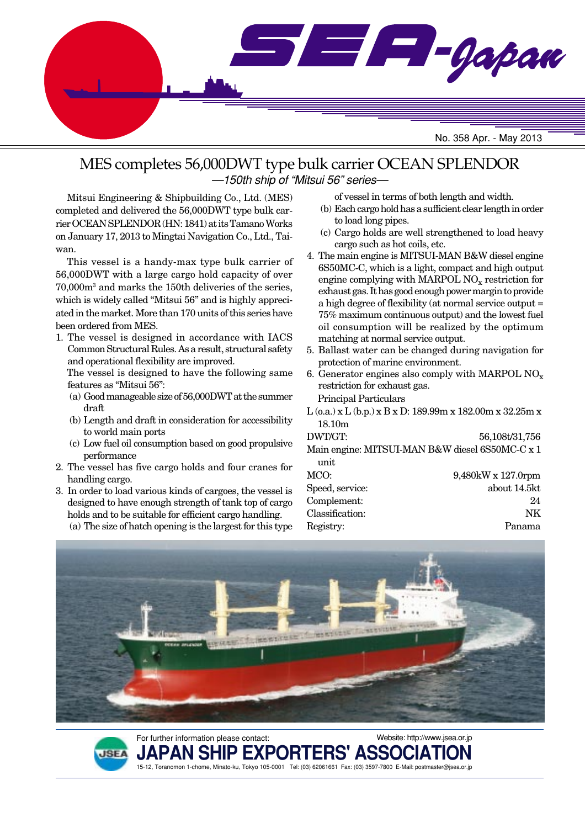

### MES completes 56,000DWT type bulk carrier OCEAN SPLENDOR —150th ship of "Mitsui 56" series—

Mitsui Engineering & Shipbuilding Co., Ltd. (MES) completed and delivered the 56,000DWT type bulk carrier OCEAN SPLENDOR (HN: 1841) at its Tamano Works on January 17, 2013 to Mingtai Navigation Co., Ltd., Taiwan.

This vessel is a handy-max type bulk carrier of 56,000DWT with a large cargo hold capacity of over 70,000m3 and marks the 150th deliveries of the series, which is widely called "Mitsui 56" and is highly appreciated in the market. More than 170 units of this series have been ordered from MES.

1. The vessel is designed in accordance with IACS Common Structural Rules. As a result, structural safety and operational flexibility are improved.

The vessel is designed to have the following same features as "Mitsui 56":

- (a) Good manageable size of 56,000DWT at the summer draft
- (b) Length and draft in consideration for accessibility to world main ports
- (c) Low fuel oil consumption based on good propulsive performance
- 2. The vessel has five cargo holds and four cranes for handling cargo.
- 3. In order to load various kinds of cargoes, the vessel is designed to have enough strength of tank top of cargo holds and to be suitable for efficient cargo handling. (a) The size of hatch opening is the largest for this type

**JSEA** 

of vessel in terms of both length and width.

- (b) Each cargo hold has a sufficient clear length in order to load long pipes.
- (c) Cargo holds are well strengthened to load heavy cargo such as hot coils, etc.
- 4. The main engine is MITSUI-MAN B&W diesel engine 6S50MC-C, which is a light, compact and high output engine complying with MARPOL  $NO<sub>x</sub>$  restriction for exhaust gas. It has good enough power margin to provide a high degree of flexibility (at normal service output = 75% maximum continuous output) and the lowest fuel oil consumption will be realized by the optimum matching at normal service output.
- 5. Ballast water can be changed during navigation for protection of marine environment.
- 6. Generator engines also comply with MARPOL  $NO_x$ restriction for exhaust gas. Principal Particulars
- L (o.a.) x L (b.p.) x B x D: 189.99m x 182.00m x 32.25m x 18.10m

| DWT/GT:                              | 56,108t/31,756                                  |
|--------------------------------------|-------------------------------------------------|
|                                      | Main engine: MITSUI-MAN B&W diesel 6S50MC-C x 1 |
| unit                                 |                                                 |
| MCO:                                 | $9,480$ kW x 127.0rpm                           |
| $C_{\text{model}}$ $\alpha$ $\alpha$ | $\frac{1}{2}$                                   |

| Speed, service: | about 14.5kt |
|-----------------|--------------|
| Complement:     | 24           |
| Classification: | NK.          |
| Registry:       | Panama       |



PAN SHIP EXPORTERS' ASSO

15-12, Toranomon 1-chome, Minato-ku, Tokyo 105-0001 Tel: (03) 62061661 Fax: (03) 3597-7800 E-Mail: postmaster@jsea.or.jp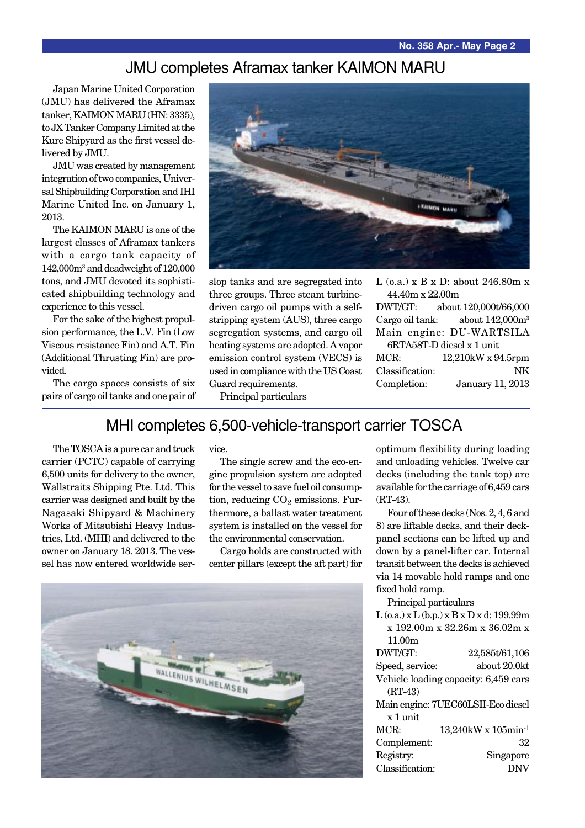## JMU completes Aframax tanker KAIMON MARU

Japan Marine United Corporation (JMU) has delivered the Aframax tanker, KAIMON MARU (HN: 3335), to JX Tanker Company Limited at the Kure Shipyard as the first vessel delivered by JMU.

JMU was created by management integration of two companies, Universal Shipbuilding Corporation and IHI Marine United Inc. on January 1, 2013.

The KAIMON MARU is one of the largest classes of Aframax tankers with a cargo tank capacity of 142,000m3 and deadweight of 120,000 tons, and JMU devoted its sophisticated shipbuilding technology and experience to this vessel.

For the sake of the highest propulsion performance, the L.V. Fin (Low Viscous resistance Fin) and A.T. Fin (Additional Thrusting Fin) are provided.

The cargo spaces consists of six pairs of cargo oil tanks and one pair of



slop tanks and are segregated into three groups. Three steam turbinedriven cargo oil pumps with a selfstripping system (AUS), three cargo segregation systems, and cargo oil heating systems are adopted. A vapor emission control system (VECS) is used in compliance with the US Coast Guard requirements.

L (o.a.) x B x D: about 246.80m x 44.40m x 22.00m

DWT/GT: about 120,000t/66,000 Cargo oil tank: about 142,000m<sup>3</sup> Main engine: DU-WARTSILA 6RTA58T-D diesel x 1 unit MCR: 12,210kW x 94.5rpm Classification: NK Completion: January 11, 2013

Principal particulars

## MHI completes 6,500-vehicle-transport carrier TOSCA

The TOSCA is a pure car and truck carrier (PCTC) capable of carrying 6,500 units for delivery to the owner, Wallstraits Shipping Pte. Ltd. This carrier was designed and built by the Nagasaki Shipyard & Machinery Works of Mitsubishi Heavy Industries, Ltd. (MHI) and delivered to the owner on January 18. 2013. The vessel has now entered worldwide service.

The single screw and the eco-engine propulsion system are adopted for the vessel to save fuel oil consumption, reducing  $CO<sub>2</sub>$  emissions. Furthermore, a ballast water treatment system is installed on the vessel for the environmental conservation.

Cargo holds are constructed with center pillars (except the aft part) for



optimum flexibility during loading and unloading vehicles. Twelve car decks (including the tank top) are available for the carriage of 6,459 cars (RT-43).

Four of these decks (Nos. 2, 4, 6 and 8) are liftable decks, and their deckpanel sections can be lifted up and down by a panel-lifter car. Internal transit between the decks is achieved via 14 movable hold ramps and one fixed hold ramp.

Principal particulars

| $L$ (o.a.) x $L$ (b.p.) x $B$ x $D$ x d: 199.99m |                                       |  |
|--------------------------------------------------|---------------------------------------|--|
| x 192.00m x 32.26m x 36.02m x                    |                                       |  |
| 11.00m                                           |                                       |  |
| DWT/GT:                                          | 22,585t/61,106                        |  |
| Speed, service:                                  | about 20.0kt                          |  |
| Vehicle loading capacity: 6,459 cars             |                                       |  |
| $(RT-43)$                                        |                                       |  |
|                                                  | Main engine: 7UEC60LSII-Eco diesel    |  |
| $x_1$ unit                                       |                                       |  |
| MCR:                                             | $13,240$ kW x $105$ min <sup>-1</sup> |  |
| Complement:                                      | 32                                    |  |
| Registry:                                        | Singapore                             |  |
| Classification:                                  | <b>DNV</b>                            |  |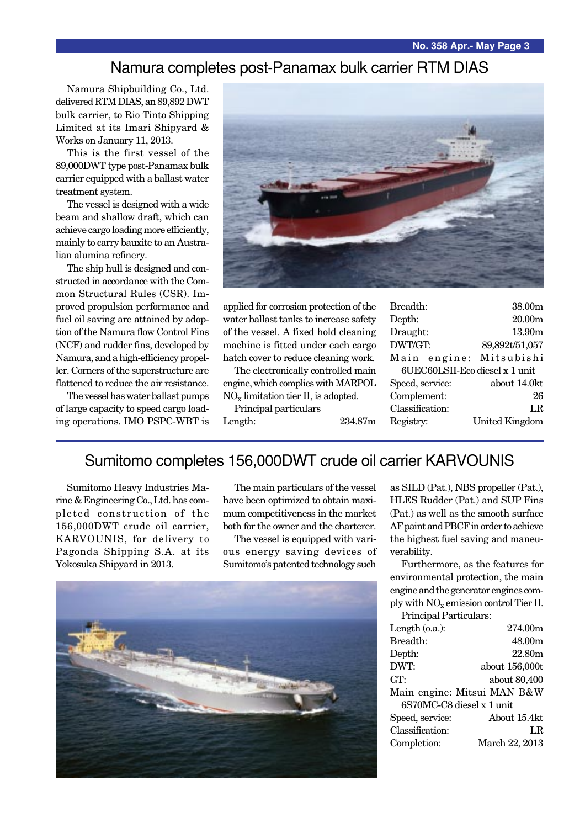### Namura completes post-Panamax bulk carrier RTM DIAS

Namura Shipbuilding Co., Ltd. delivered RTM DIAS, an 89,892 DWT bulk carrier, to Rio Tinto Shipping Limited at its Imari Shipyard & Works on January 11, 2013.

This is the first vessel of the 89,000DWT type post-Panamax bulk carrier equipped with a ballast water treatment system.

The vessel is designed with a wide beam and shallow draft, which can achieve cargo loading more efficiently, mainly to carry bauxite to an Australian alumina refinery.

The ship hull is designed and constructed in accordance with the Common Structural Rules (CSR). Improved propulsion performance and fuel oil saving are attained by adoption of the Namura flow Control Fins (NCF) and rudder fins, developed by Namura, and a high-efficiency propeller. Corners of the superstructure are flattened to reduce the air resistance.

The vessel has water ballast pumps of large capacity to speed cargo loading operations. IMO PSPC-WBT is



applied for corrosion protection of the water ballast tanks to increase safety of the vessel. A fixed hold cleaning machine is fitted under each cargo hatch cover to reduce cleaning work.

The electronically controlled main engine, which complies with MARPOL

NOx limitation tier II, is adopted. Principal particulars

Length: 234.87m

| Breadth:                       | 38.00m                |
|--------------------------------|-----------------------|
| Depth:                         | 20.00 <sub>m</sub>    |
| Draught:                       | 13.90m                |
| DWT/GT:                        | 89,892t/51,057        |
| Main engine: Mitsubishi        |                       |
| 6UEC60LSII-Eco diesel x 1 unit |                       |
| Speed, service:                | about 14.0kt          |
| Complement:                    | 26                    |
| Classification:                | LR                    |
| Registry:                      | <b>United Kingdom</b> |
|                                |                       |

## Sumitomo completes 156,000DWT crude oil carrier KARVOUNIS

Sumitomo Heavy Industries Marine & Engineering Co., Ltd. has completed construction of the 156,000DWT crude oil carrier, KARVOUNIS, for delivery to Pagonda Shipping S.A. at its Yokosuka Shipyard in 2013.

The main particulars of the vessel have been optimized to obtain maximum competitiveness in the market both for the owner and the charterer.

The vessel is equipped with various energy saving devices of Sumitomo's patented technology such



as SILD (Pat.), NBS propeller (Pat.), HLES Rudder (Pat.) and SUP Fins (Pat.) as well as the smooth surface AF paint and PBCF in order to achieve the highest fuel saving and maneuverability.

Furthermore, as the features for environmental protection, the main engine and the generator engines comply with NOx emission control Tier II.

| Principal Particulars:    |                             |  |
|---------------------------|-----------------------------|--|
| Length $(o.a.):$          | 274.00m                     |  |
| Breadth:                  | 48.00m                      |  |
| Depth:                    | 22.80m                      |  |
| DWT:                      | about 156,000t              |  |
| GT:                       | about 80,400                |  |
|                           | Main engine: Mitsui MAN B&W |  |
| 6S70MC-C8 diesel x 1 unit |                             |  |
| Speed, service:           | About 15.4kt                |  |
| Classification:           | LR                          |  |
| Completion:               | March 22, 2013              |  |
|                           |                             |  |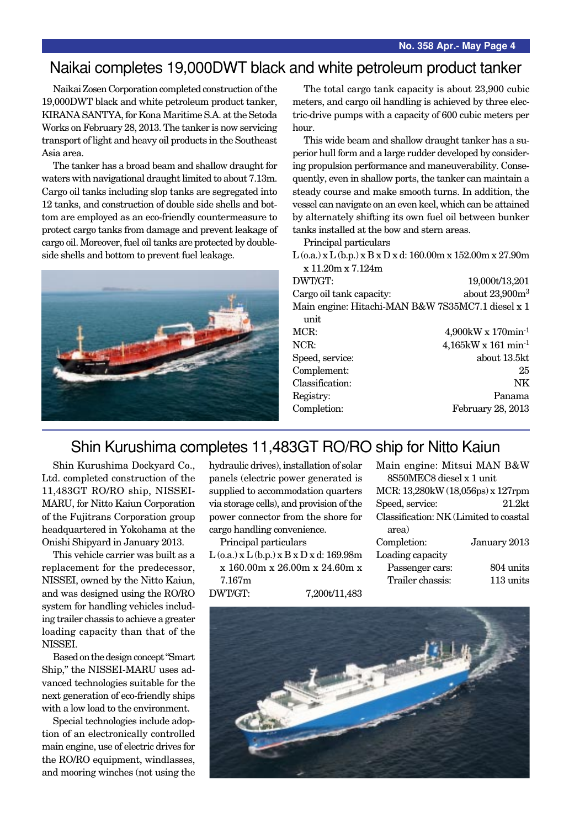## Naikai completes 19,000DWT black and white petroleum product tanker

Naikai Zosen Corporation completed construction of the 19,000DWT black and white petroleum product tanker, KIRANA SANTYA, for Kona Maritime S.A. at the Setoda Works on February 28, 2013. The tanker is now servicing transport of light and heavy oil products in the Southeast Asia area.

The tanker has a broad beam and shallow draught for waters with navigational draught limited to about 7.13m. Cargo oil tanks including slop tanks are segregated into 12 tanks, and construction of double side shells and bottom are employed as an eco-friendly countermeasure to protect cargo tanks from damage and prevent leakage of cargo oil. Moreover, fuel oil tanks are protected by doubleside shells and bottom to prevent fuel leakage.



The total cargo tank capacity is about 23,900 cubic meters, and cargo oil handling is achieved by three electric-drive pumps with a capacity of 600 cubic meters per hour.

This wide beam and shallow draught tanker has a superior hull form and a large rudder developed by considering propulsion performance and maneuverability. Consequently, even in shallow ports, the tanker can maintain a steady course and make smooth turns. In addition, the vessel can navigate on an even keel, which can be attained by alternately shifting its own fuel oil between bunker tanks installed at the bow and stern areas.

Principal particulars

 $L$  (o.a.) x  $L$  (b.p.) x  $B$  x  $D$  x d: 160.00m x 152.00m x 27.90m x 11.20m x 7.124m

| 19,000t/13,201                                    |
|---------------------------------------------------|
| about 23,900m <sup>3</sup>                        |
| Main engine: Hitachi-MAN B&W 7S35MC7.1 diesel x 1 |
|                                                   |
| $4,900$ kW x 170min <sup>-1</sup>                 |
| $4,165$ kW x 161 min <sup>-1</sup>                |
| about 13.5kt                                      |
| 25                                                |
| NK                                                |
| Panama                                            |
| February 28, 2013                                 |
|                                                   |

## Shin Kurushima completes 11,483GT RO/RO ship for Nitto Kaiun

Shin Kurushima Dockyard Co., Ltd. completed construction of the 11,483GT RO/RO ship, NISSEI-MARU, for Nitto Kaiun Corporation of the Fujitrans Corporation group headquartered in Yokohama at the Onishi Shipyard in January 2013.

This vehicle carrier was built as a replacement for the predecessor, NISSEI, owned by the Nitto Kaiun, and was designed using the RO/RO system for handling vehicles including trailer chassis to achieve a greater loading capacity than that of the NISSEI.

Based on the design concept "Smart Ship," the NISSEI-MARU uses advanced technologies suitable for the next generation of eco-friendly ships with a low load to the environment.

Special technologies include adoption of an electronically controlled main engine, use of electric drives for the RO/RO equipment, windlasses, and mooring winches (not using the

hydraulic drives), installation of solar panels (electric power generated is supplied to accommodation quarters via storage cells), and provision of the power connector from the shore for cargo handling convenience.

Principal particulars  $L$  (o.a.) x  $L$  (b.p.) x  $B$  x  $D$  x d: 169.98m

x 160.00m x 26.00m x 24.60m x 7.167m

DWT/GT: 7,200t/11,483

| Main engine: Mitsui MAN B&W            |              |  |
|----------------------------------------|--------------|--|
| 8S50MEC8 diesel x 1 unit               |              |  |
| MCR: 13,280kW (18,056ps) x 127rpm      |              |  |
| Speed, service:                        | $21.2$ kt    |  |
| Classification: NK (Limited to coastal |              |  |
| area)                                  |              |  |
| Completion:                            | January 2013 |  |
| Loading capacity                       |              |  |
| Passenger cars:                        | 804 units    |  |
| Trailer chassis:                       | 113 units    |  |
|                                        |              |  |

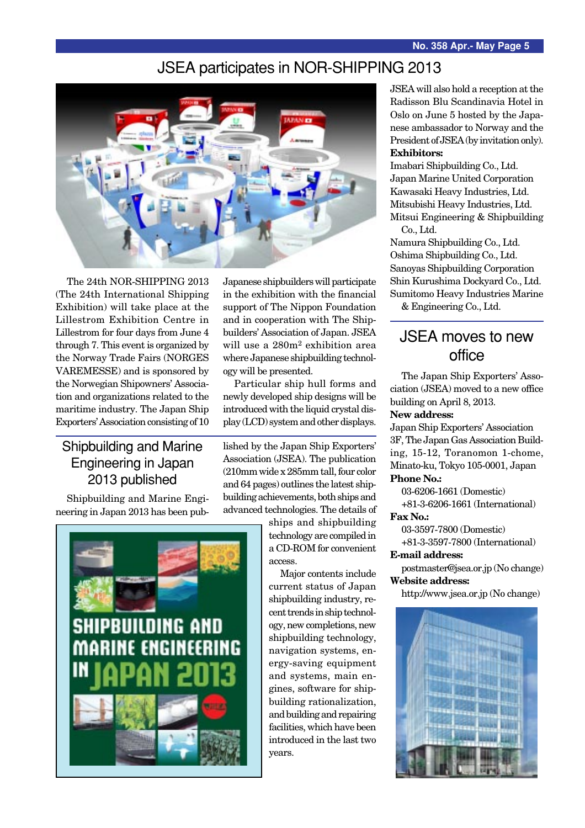## JSEA participates in NOR-SHIPPING 2013



The 24th NOR-SHIPPING 2013 (The 24th International Shipping Exhibition) will take place at the Lillestrom Exhibition Centre in Lillestrom for four days from June 4 through 7. This event is organized by the Norway Trade Fairs (NORGES VAREMESSE) and is sponsored by the Norwegian Shipowners' Association and organizations related to the maritime industry. The Japan Ship Exporters' Association consisting of 10

Japanese shipbuilders will participate in the exhibition with the financial support of The Nippon Foundation and in cooperation with The Shipbuilders' Association of Japan. JSEA will use a 280m2 exhibition area where Japanese shipbuilding technology will be presented.

Particular ship hull forms and newly developed ship designs will be introduced with the liquid crystal display (LCD) system and other displays.

### Shipbuilding and Marine Engineering in Japan 2013 published

Shipbuilding and Marine Engineering in Japan 2013 has been pub-



lished by the Japan Ship Exporters' Association (JSEA). The publication (210mm wide x 285mm tall, four color and 64 pages) outlines the latest shipbuilding achievements, both ships and advanced technologies. The details of

> ships and shipbuilding technology are compiled in a CD-ROM for convenient access.

Major contents include current status of Japan shipbuilding industry, recent trends in ship technology, new completions, new shipbuilding technology, navigation systems, energy-saving equipment and systems, main engines, software for shipbuilding rationalization, and building and repairing facilities, which have been introduced in the last two years.

JSEA will also hold a reception at the Radisson Blu Scandinavia Hotel in Oslo on June 5 hosted by the Japanese ambassador to Norway and the President of JSEA (by invitation only). **Exhibitors:**

Imabari Shipbuilding Co., Ltd. Japan Marine United Corporation Kawasaki Heavy Industries, Ltd. Mitsubishi Heavy Industries, Ltd. Mitsui Engineering & Shipbuilding Co., Ltd.

Namura Shipbuilding Co., Ltd. Oshima Shipbuilding Co., Ltd. Sanoyas Shipbuilding Corporation Shin Kurushima Dockyard Co., Ltd. Sumitomo Heavy Industries Marine

& Engineering Co., Ltd.

## JSEA moves to new office

The Japan Ship Exporters' Association (JSEA) moved to a new office building on April 8, 2013.

#### **New address:**

Japan Ship Exporters' Association 3F, The Japan Gas Association Building, 15-12, Toranomon 1-chome, Minato-ku, Tokyo 105-0001, Japan

#### **Phone No.:**

03-6206-1661 (Domestic) +81-3-6206-1661 (International)

#### **Fax No.:**

03-3597-7800 (Domestic) +81-3-3597-7800 (International)

#### **E-mail address:**

postmaster@jsea.or.jp (No change) **Website address:**

http://www.jsea.or.jp (No change)